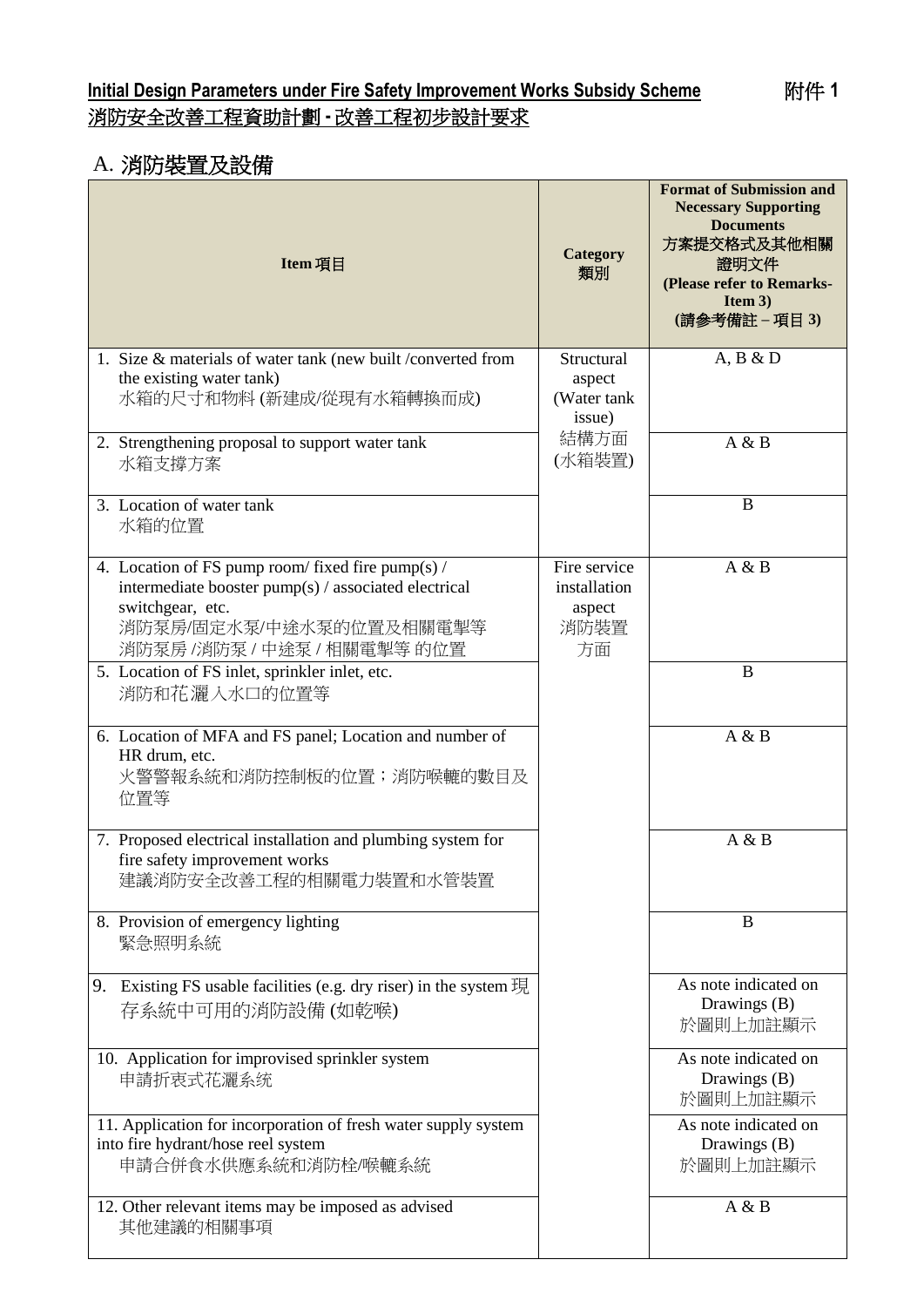## **Initial Design Parameters under Fire Safety Improvement Works Subsidy Scheme** 附件 **1** 消防安全改善工程資助計劃 **-** 改善工程初步設計要求

# A. 消防裝置及設備

| Item 項目                                                                                                                                                                                 | Category<br>類別                                       | <b>Format of Submission and</b><br><b>Necessary Supporting</b><br><b>Documents</b><br>方案提交格式及其他相關<br>證明文件<br>(Please refer to Remarks-<br>Item $3)$<br>(請參考備註 - 項目 3) |
|-----------------------------------------------------------------------------------------------------------------------------------------------------------------------------------------|------------------------------------------------------|-----------------------------------------------------------------------------------------------------------------------------------------------------------------------|
| 1. Size & materials of water tank (new built /converted from<br>the existing water tank)<br>水箱的尺寸和物料(新建成/從現有水箱轉換而成)                                                                     | Structural<br>aspect<br>(Water tank<br>issue)        | A, B & D                                                                                                                                                              |
| 2. Strengthening proposal to support water tank<br>水箱支撐方案                                                                                                                               | 結構方面<br>(水箱裝置)                                       | A & B                                                                                                                                                                 |
| 3. Location of water tank<br>水箱的位置                                                                                                                                                      |                                                      | B                                                                                                                                                                     |
| 4. Location of FS pump room/ fixed fire pump(s) /<br>intermediate booster pump(s) / associated electrical<br>switchgear, etc.<br>消防泵房/固定水泵/中途水泵的位置及相關電掣等<br>消防泵房 /消防泵 / 中途泵 / 相關電掣等 的位置 | Fire service<br>installation<br>aspect<br>消防裝置<br>方面 | A & B                                                                                                                                                                 |
| 5. Location of FS inlet, sprinkler inlet, etc.<br>消防和花灑入水口的位置等                                                                                                                          |                                                      | B                                                                                                                                                                     |
| 6. Location of MFA and FS panel; Location and number of<br>HR drum, etc.<br>火警警報系統和消防控制板的位置;消防喉轆的數目及<br>位置等                                                                             |                                                      | A & B                                                                                                                                                                 |
| 7. Proposed electrical installation and plumbing system for<br>fire safety improvement works<br>建議消防安全改善工程的相關電力裝置和水管裝置                                                                  |                                                      | A & B                                                                                                                                                                 |
| 8. Provision of emergency lighting<br>緊急照明系統                                                                                                                                            |                                                      | B                                                                                                                                                                     |
| 9. Existing FS usable facilities (e.g. dry riser) in the system 現<br>存系統中可用的消防設備(如乾喉)                                                                                                   |                                                      | As note indicated on<br>Drawings (B)<br>於圖則上加註顯示                                                                                                                      |
| 10. Application for improvised sprinkler system<br>申請折衷式花灑系统                                                                                                                            |                                                      | As note indicated on<br>Drawings (B)<br>於圖則上加註顯示                                                                                                                      |
| 11. Application for incorporation of fresh water supply system<br>into fire hydrant/hose reel system<br>申請合併食水供應系統和消防栓/喉轆系統                                                             |                                                      | As note indicated on<br>Drawings (B)<br>於圖則上加註顯示                                                                                                                      |
| 12. Other relevant items may be imposed as advised<br>其他建議的相關事項                                                                                                                         |                                                      | A & B                                                                                                                                                                 |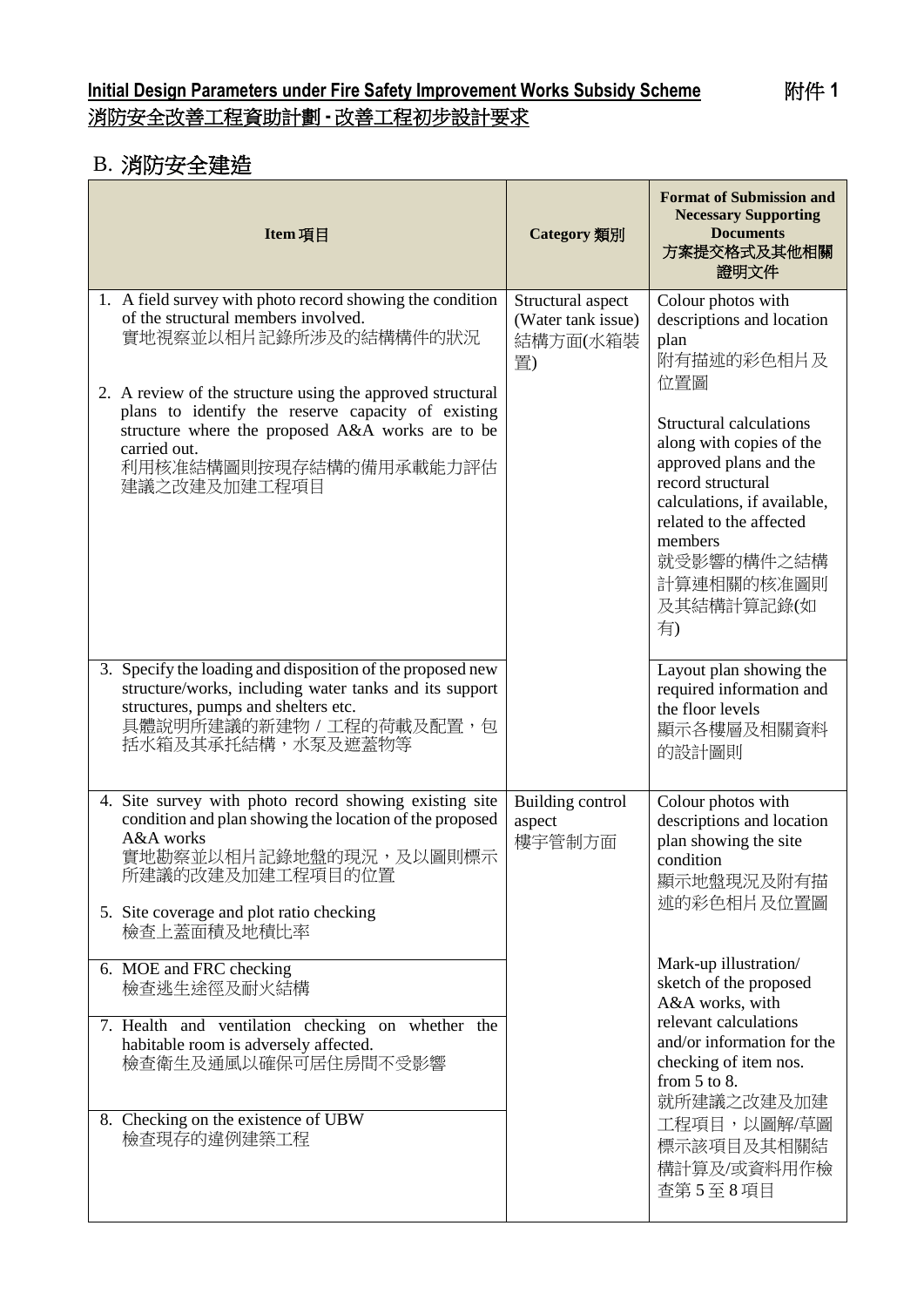## **Initial Design Parameters under Fire Safety Improvement Works Subsidy Scheme** 附件 **1** 消防安全改善工程資助計劃 **-** 改善工程初步設計要求

# B. 消防安全建造

| Item 項目                                                                                                                                                                                                                                 | <b>Category</b> 類別                                        | <b>Format of Submission and</b><br><b>Necessary Supporting</b><br><b>Documents</b><br>方案提交格式及其他相關<br>證明文件                                                                                                                                    |
|-----------------------------------------------------------------------------------------------------------------------------------------------------------------------------------------------------------------------------------------|-----------------------------------------------------------|----------------------------------------------------------------------------------------------------------------------------------------------------------------------------------------------------------------------------------------------|
| 1. A field survey with photo record showing the condition<br>of the structural members involved.<br>實地視察並以相片記錄所涉及的結構構件的狀況                                                                                                               | Structural aspect<br>(Water tank issue)<br>結構方面(水箱裝<br>置) | Colour photos with<br>descriptions and location<br>plan<br>附有描述的彩色相片及<br>位置圖                                                                                                                                                                 |
| 2. A review of the structure using the approved structural<br>plans to identify the reserve capacity of existing<br>structure where the proposed A&A works are to be<br>carried out.<br>利用核准結構圖則按現存結構的備用承載能力評估<br>建議之改建及加建工程項目          |                                                           | Structural calculations<br>along with copies of the<br>approved plans and the<br>record structural<br>calculations, if available,<br>related to the affected<br>members<br>就受影響的構件之結構<br>計算連相關的核准圖則<br>及其結構計算記錄(如<br>有)                      |
| 3. Specify the loading and disposition of the proposed new<br>structure/works, including water tanks and its support<br>structures, pumps and shelters etc.<br>具體說明所建議的新建物 / 工程的荷載及配置, 包<br>括水箱及其承托結構,水泵及遮蓋物等                           |                                                           | Layout plan showing the<br>required information and<br>the floor levels<br>顯示各樓層及相關資料<br>的設計圖則                                                                                                                                               |
| 4. Site survey with photo record showing existing site<br>condition and plan showing the location of the proposed<br>A&A works<br>實地勘察並以相片記錄地盤的現況,及以圖則標示<br>所建議的改建及加建工程項目的位置<br>5. Site coverage and plot ratio checking<br>檢查上蓋面積及地積比率 | <b>Building control</b><br>aspect<br>樓宇管制方面               | Colour photos with<br>descriptions and location<br>plan showing the site<br>condition<br>顯示地盤現況及附有描<br>述的彩色相片及位置圖                                                                                                                            |
| 6. MOE and FRC checking<br>檢查逃生途徑及耐火結構<br>7. Health and ventilation checking on whether the                                                                                                                                             |                                                           | Mark-up illustration/<br>sketch of the proposed<br>A&A works, with<br>relevant calculations<br>and/or information for the<br>checking of item nos.<br>from $5$ to $8$ .<br>就所建議之改建及加建<br>工程項目,以圖解/草圖<br>標示該項目及其相關結<br>構計算及/或資料用作檢<br>查第5至8項目 |
| habitable room is adversely affected.<br>檢查衛生及通風以確保可居住房間不受影響                                                                                                                                                                            |                                                           |                                                                                                                                                                                                                                              |
| 8. Checking on the existence of UBW<br>檢查現存的違例建築工程                                                                                                                                                                                      |                                                           |                                                                                                                                                                                                                                              |